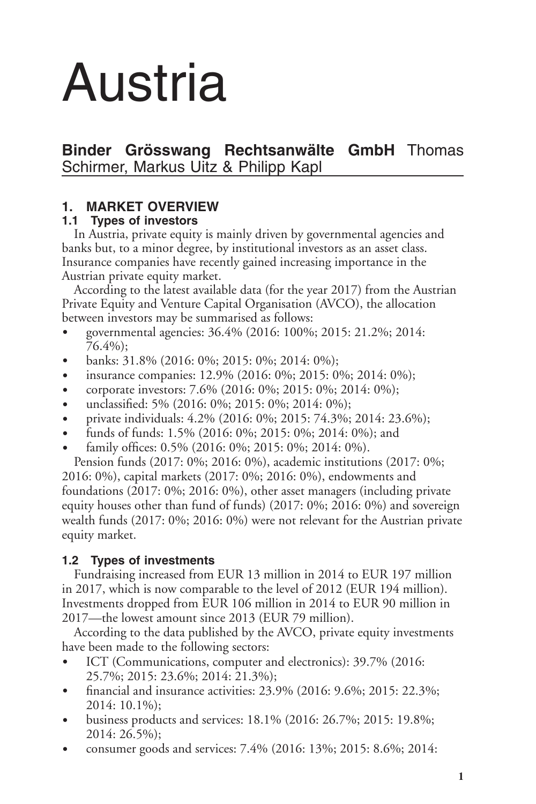# Austria

# **Binder Grösswang Rechtsanwälte GmbH** Thomas Schirmer, Markus Uitz & Philipp Kapl

# **1. MARKET OVERVIEW**

## **1.1 Types of investors**

In Austria, private equity is mainly driven by governmental agencies and banks but, to a minor degree, by institutional investors as an asset class. Insurance companies have recently gained increasing importance in the Austrian private equity market.

According to the latest available data (for the year 2017) from the Austrian Private Equity and Venture Capital Organisation (AVCO), the allocation between investors may be summarised as follows:

- governmental agencies: 36.4% (2016: 100%; 2015: 21.2%; 2014: 76.4%);
- banks: 31.8% (2016: 0%; 2015: 0%; 2014: 0%);
- insurance companies: 12.9% (2016: 0%; 2015: 0%; 2014: 0%);
- corporate investors: 7.6% (2016: 0%; 2015: 0%; 2014: 0%);
- unclassified: 5% (2016: 0%; 2015: 0%; 2014: 0%);
- D private individuals: 4.2% (2016: 0%; 2015: 74.3%; 2014: 23.6%);
- funds of funds: 1.5% (2016: 0%; 2015: 0%; 2014: 0%); and
- family offices: 0.5% (2016: 0%; 2015: 0%; 2014: 0%).

Pension funds (2017: 0%; 2016: 0%), academic institutions (2017: 0%; 2016: 0%), capital markets (2017: 0%; 2016: 0%), endowments and foundations (2017: 0%; 2016: 0%), other asset managers (including private equity houses other than fund of funds) (2017: 0%; 2016: 0%) and sovereign wealth funds (2017: 0%; 2016: 0%) were not relevant for the Austrian private equity market.

## **1.2 Types of investments**

Fundraising increased from EUR 13 million in 2014 to EUR 197 million in 2017, which is now comparable to the level of 2012 (EUR 194 million). Investments dropped from EUR 106 million in 2014 to EUR 90 million in 2017—the lowest amount since 2013 (EUR 79 million).

According to the data published by the AVCO, private equity investments have been made to the following sectors:

- ICT (Communications, computer and electronics): 39.7% (2016: 25.7%; 2015: 23.6%; 2014: 21.3%);
- financial and insurance activities: 23.9% (2016: 9.6%; 2015: 22.3%; 2014: 10.1%);
- $\bullet$  business products and services: 18.1% (2016: 26.7%; 2015: 19.8%; 2014: 26.5%);
- consumer goods and services: 7.4% (2016: 13%; 2015: 8.6%; 2014: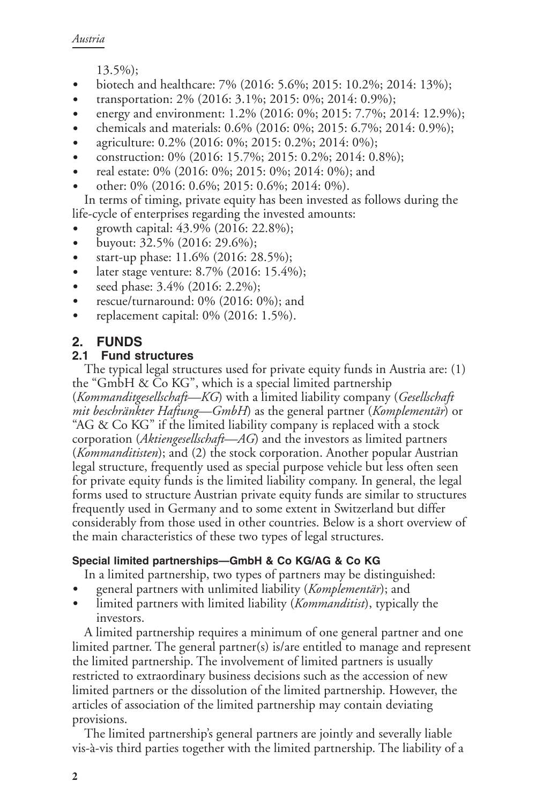13.5%);

- biotech and healthcare: 7% (2016: 5.6%; 2015: 10.2%; 2014: 13%);
- transportation: 2% (2016: 3.1%; 2015: 0%; 2014: 0.9%);
- energy and environment: 1.2% (2016: 0%; 2015: 7.7%; 2014: 12.9%);
- D chemicals and materials: 0.6% (2016: 0%; 2015: 6.7%; 2014: 0.9%);
- agriculture: 0.2% (2016: 0%; 2015: 0.2%; 2014: 0%);
- construction: 0% (2016: 15.7%; 2015: 0.2%; 2014: 0.8%);
- real estate: 0% (2016: 0%; 2015: 0%; 2014: 0%); and
- other: 0% (2016: 0.6%; 2015: 0.6%; 2014: 0%).

In terms of timing, private equity has been invested as follows during the life-cycle of enterprises regarding the invested amounts:

- growth capital: 43.9% (2016: 22.8%);
- buyout:  $32.5\%$  (2016: 29.6%);
- start-up phase: 11.6% (2016: 28.5%);
- later stage venture: 8.7% (2016: 15.4%);
- seed phase:  $3.4\%$  (2016: 2.2%);
- rescue/turnaround:  $0\%$  (2016:  $0\%$ ); and
- replacement capital:  $0\%$  (2016: 1.5%).

### **2. FUNDS**

#### **2.1 Fund structures**

The typical legal structures used for private equity funds in Austria are: (1) the "GmbH & Co KG", which is a special limited partnership (*Kommanditgesellschaft—KG*) with a limited liability company (*Gesellschaft mit beschränkter Haftung—GmbH*) as the general partner (*Komplementär*) or "AG & Co KG" if the limited liability company is replaced with a stock corporation (*Aktiengesellschaft—AG*) and the investors as limited partners (*Kommanditisten*); and (2) the stock corporation. Another popular Austrian legal structure, frequently used as special purpose vehicle but less often seen for private equity funds is the limited liability company. In general, the legal forms used to structure Austrian private equity funds are similar to structures frequently used in Germany and to some extent in Switzerland but differ considerably from those used in other countries. Below is a short overview of the main characteristics of these two types of legal structures.

#### **Special limited partnerships—GmbH & Co KG/AG & Co KG**

In a limited partnership, two types of partners may be distinguished:

- general partners with unlimited liability (*Komplementär*); and
- limited partners with limited liability (*Kommanditist*), typically the investors.

A limited partnership requires a minimum of one general partner and one limited partner. The general partner(s) is/are entitled to manage and represent the limited partnership. The involvement of limited partners is usually restricted to extraordinary business decisions such as the accession of new limited partners or the dissolution of the limited partnership. However, the articles of association of the limited partnership may contain deviating provisions.

The limited partnership's general partners are jointly and severally liable vis-à-vis third parties together with the limited partnership. The liability of a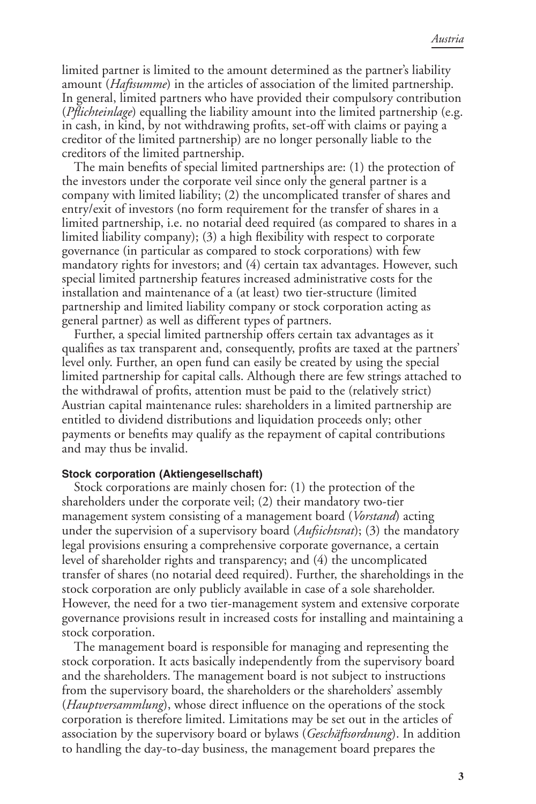limited partner is limited to the amount determined as the partner's liability amount (*Haftsumme*) in the articles of association of the limited partnership. In general, limited partners who have provided their compulsory contribution (*Pflichteinlage*) equalling the liability amount into the limited partnership (e.g. in cash, in kind, by not withdrawing profits, set-off with claims or paying a creditor of the limited partnership) are no longer personally liable to the creditors of the limited partnership.

The main benefits of special limited partnerships are: (1) the protection of the investors under the corporate veil since only the general partner is a company with limited liability; (2) the uncomplicated transfer of shares and entry/exit of investors (no form requirement for the transfer of shares in a limited partnership, i.e. no notarial deed required (as compared to shares in a limited liability company); (3) a high flexibility with respect to corporate governance (in particular as compared to stock corporations) with few mandatory rights for investors; and (4) certain tax advantages. However, such special limited partnership features increased administrative costs for the installation and maintenance of a (at least) two tier-structure (limited partnership and limited liability company or stock corporation acting as general partner) as well as different types of partners.

Further, a special limited partnership offers certain tax advantages as it qualifies as tax transparent and, consequently, profits are taxed at the partners' level only. Further, an open fund can easily be created by using the special limited partnership for capital calls. Although there are few strings attached to the withdrawal of profits, attention must be paid to the (relatively strict) Austrian capital maintenance rules: shareholders in a limited partnership are entitled to dividend distributions and liquidation proceeds only; other payments or benefits may qualify as the repayment of capital contributions and may thus be invalid.

#### **Stock corporation (Aktiengesellschaft)**

Stock corporations are mainly chosen for: (1) the protection of the shareholders under the corporate veil; (2) their mandatory two-tier management system consisting of a management board (*Vorstand*) acting under the supervision of a supervisory board (*Aufsichtsrat*); (3) the mandatory legal provisions ensuring a comprehensive corporate governance, a certain level of shareholder rights and transparency; and (4) the uncomplicated transfer of shares (no notarial deed required). Further, the shareholdings in the stock corporation are only publicly available in case of a sole shareholder. However, the need for a two tier-management system and extensive corporate governance provisions result in increased costs for installing and maintaining a stock corporation.

The management board is responsible for managing and representing the stock corporation. It acts basically independently from the supervisory board and the shareholders. The management board is not subject to instructions from the supervisory board, the shareholders or the shareholders' assembly (*Hauptversammlung*), whose direct influence on the operations of the stock corporation is therefore limited. Limitations may be set out in the articles of association by the supervisory board or bylaws (*Geschäftsordnung*). In addition to handling the day-to-day business, the management board prepares the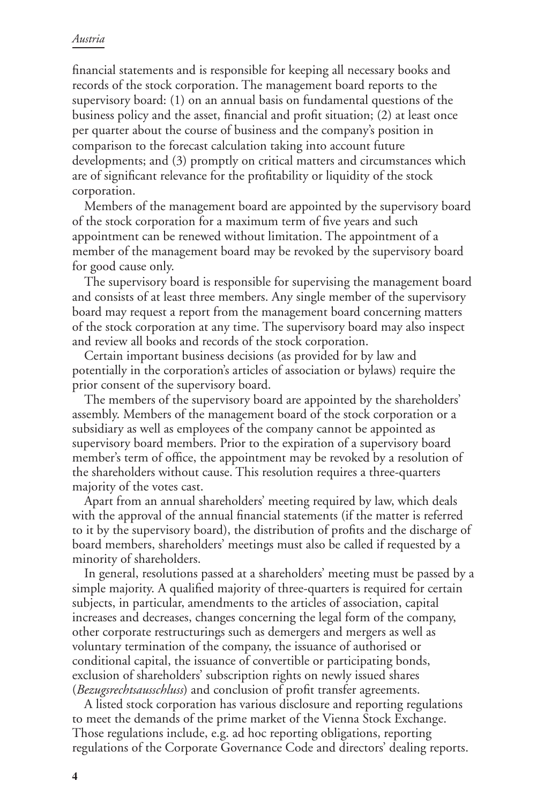#### *Austria*

financial statements and is responsible for keeping all necessary books and records of the stock corporation. The management board reports to the supervisory board: (1) on an annual basis on fundamental questions of the business policy and the asset, financial and profit situation; (2) at least once per quarter about the course of business and the company's position in comparison to the forecast calculation taking into account future developments; and (3) promptly on critical matters and circumstances which are of significant relevance for the profitability or liquidity of the stock corporation.

Members of the management board are appointed by the supervisory board of the stock corporation for a maximum term of five years and such appointment can be renewed without limitation. The appointment of a member of the management board may be revoked by the supervisory board for good cause only.

The supervisory board is responsible for supervising the management board and consists of at least three members. Any single member of the supervisory board may request a report from the management board concerning matters of the stock corporation at any time. The supervisory board may also inspect and review all books and records of the stock corporation.

Certain important business decisions (as provided for by law and potentially in the corporation's articles of association or bylaws) require the prior consent of the supervisory board.

The members of the supervisory board are appointed by the shareholders' assembly. Members of the management board of the stock corporation or a subsidiary as well as employees of the company cannot be appointed as supervisory board members. Prior to the expiration of a supervisory board member's term of office, the appointment may be revoked by a resolution of the shareholders without cause. This resolution requires a three-quarters majority of the votes cast.

Apart from an annual shareholders' meeting required by law, which deals with the approval of the annual financial statements (if the matter is referred to it by the supervisory board), the distribution of profits and the discharge of board members, shareholders' meetings must also be called if requested by a minority of shareholders.

In general, resolutions passed at a shareholders' meeting must be passed by a simple majority. A qualified majority of three-quarters is required for certain subjects, in particular, amendments to the articles of association, capital increases and decreases, changes concerning the legal form of the company, other corporate restructurings such as demergers and mergers as well as voluntary termination of the company, the issuance of authorised or conditional capital, the issuance of convertible or participating bonds, exclusion of shareholders' subscription rights on newly issued shares (*Bezugsrechtsausschluss*) and conclusion of profit transfer agreements.

A listed stock corporation has various disclosure and reporting regulations to meet the demands of the prime market of the Vienna Stock Exchange. Those regulations include, e.g. ad hoc reporting obligations, reporting regulations of the Corporate Governance Code and directors' dealing reports.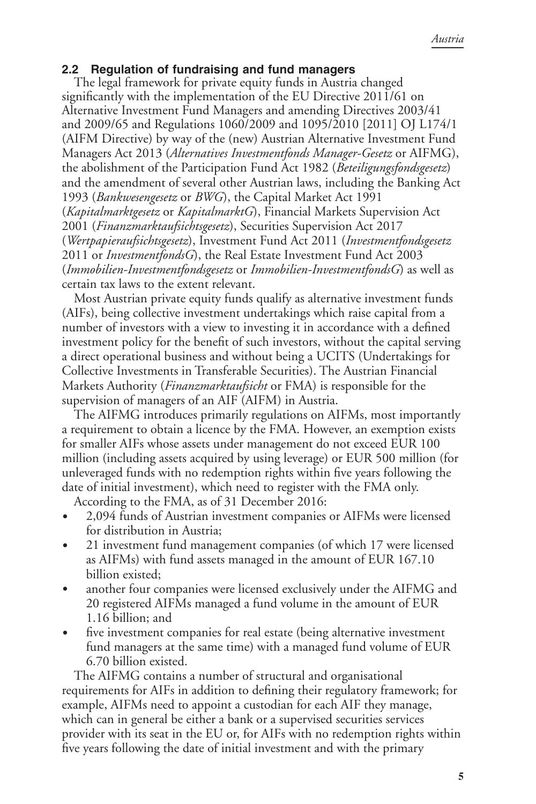### **2.2 Regulation of fundraising and fund managers**

The legal framework for private equity funds in Austria changed significantly with the implementation of the EU Directive 2011/61 on Alternative Investment Fund Managers and amending Directives 2003/41 and 2009/65 and Regulations 1060/2009 and 1095/2010 [2011] OJ L174/1 (AIFM Directive) by way of the (new) Austrian Alternative Investment Fund Managers Act 2013 (*Alternatives Investmentfonds Manager-Gesetz* or AIFMG), the abolishment of the Participation Fund Act 1982 (*Beteiligungsfondsgesetz*) and the amendment of several other Austrian laws, including the Banking Act 1993 (*Bankwesengesetz* or *BWG*), the Capital Market Act 1991 (*Kapitalmarktgesetz* or *KapitalmarktG*), Financial Markets Supervision Act 2001 (*Finanzmarktaufsichtsgesetz*), Securities Supervision Act 2017 (*Wertpapieraufsichtsgesetz*), Investment Fund Act 2011 (*Investmentfondsgesetz* 2011 or *InvestmentfondsG*), the Real Estate Investment Fund Act 2003 (*Immobilien-Investmentfondsgesetz* or *Immobilien-InvestmentfondsG*) as well as certain tax laws to the extent relevant.

Most Austrian private equity funds qualify as alternative investment funds (AIFs), being collective investment undertakings which raise capital from a number of investors with a view to investing it in accordance with a defined investment policy for the benefit of such investors, without the capital serving a direct operational business and without being a UCITS (Undertakings for Collective Investments in Transferable Securities). The Austrian Financial Markets Authority (*Finanzmarktaufsicht* or FMA) is responsible for the supervision of managers of an AIF (AIFM) in Austria.

The AIFMG introduces primarily regulations on AIFMs, most importantly a requirement to obtain a licence by the FMA. However, an exemption exists for smaller AIFs whose assets under management do not exceed EUR 100 million (including assets acquired by using leverage) or EUR 500 million (for unleveraged funds with no redemption rights within five years following the date of initial investment), which need to register with the FMA only.

According to the FMA, as of 31 December 2016:

- 2,094 funds of Austrian investment companies or AIFMs were licensed for distribution in Austria;
- 21 investment fund management companies (of which 17 were licensed as AIFMs) with fund assets managed in the amount of EUR 167.10 billion existed;
- another four companies were licensed exclusively under the AIFMG and 20 registered AIFMs managed a fund volume in the amount of EUR 1.16 billion; and
- five investment companies for real estate (being alternative investment fund managers at the same time) with a managed fund volume of EUR 6.70 billion existed.

The AIFMG contains a number of structural and organisational requirements for AIFs in addition to defining their regulatory framework; for example, AIFMs need to appoint a custodian for each AIF they manage, which can in general be either a bank or a supervised securities services provider with its seat in the EU or, for AIFs with no redemption rights within five years following the date of initial investment and with the primary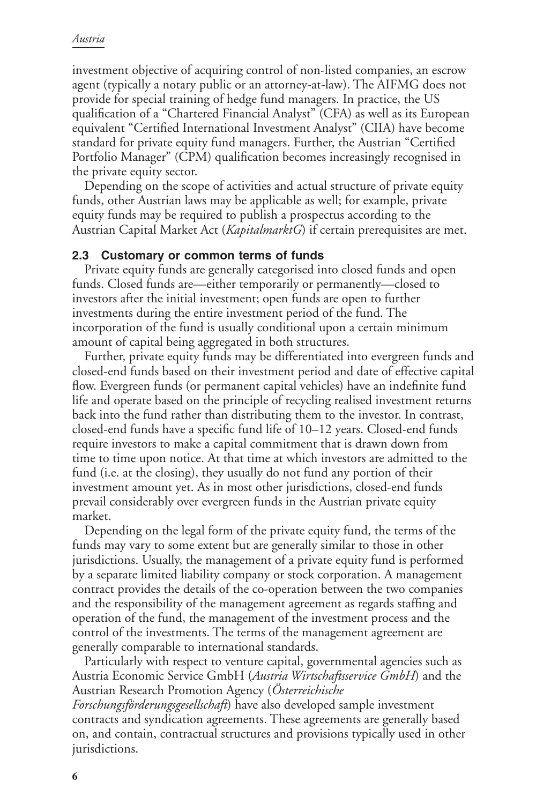investment objective of acquiring control of non-listed companies, an escrow agent (typically a notary public or an attorney-at-law). The AIFMG does not provide for special training of hedge fund managers. In practice, the US qualification of a "Chartered Financial Analyst" (CFA) as well as its European equivalent "Certified International Investment Analyst" (CIIA) have become standard for private equity fund managers. Further, the Austrian "Certified Portfolio Manager" (CPM) qualification becomes increasingly recognised in the private equity sector.

Depending on the scope of activities and actual structure of private equity funds, other Austrian laws may be applicable as well; for example, private equity funds may be required to publish a prospectus according to the Austrian Capital Market Act (*KapitalmarktG*) if certain prerequisites are met.

#### **2.3 Customary or common terms of funds**

Private equity funds are generally categorised into closed funds and open funds. Closed funds are—either temporarily or permanently—closed to investors after the initial investment; open funds are open to further investments during the entire investment period of the fund. The incorporation of the fund is usually conditional upon a certain minimum amount of capital being aggregated in both structures.

Further, private equity funds may be differentiated into evergreen funds and closed-end funds based on their investment period and date of effective capital flow. Evergreen funds (or permanent capital vehicles) have an indefinite fund life and operate based on the principle of recycling realised investment returns back into the fund rather than distributing them to the investor. In contrast, closed-end funds have a specific fund life of 10–12 years. Closed-end funds require investors to make a capital commitment that is drawn down from time to time upon notice. At that time at which investors are admitted to the fund (i.e. at the closing), they usually do not fund any portion of their investment amount yet. As in most other jurisdictions, closed-end funds prevail considerably over evergreen funds in the Austrian private equity market.

Depending on the legal form of the private equity fund, the terms of the funds may vary to some extent but are generally similar to those in other jurisdictions. Usually, the management of a private equity fund is performed by a separate limited liability company or stock corporation. A management contract provides the details of the co-operation between the two companies and the responsibility of the management agreement as regards staffing and operation of the fund, the management of the investment process and the control of the investments. The terms of the management agreement are generally comparable to international standards.

Particularly with respect to venture capital, governmental agencies such as Austria Economic Service GmbH (*Austria Wirtschaftsservice GmbH*) and the Austrian Research Promotion Agency (*Österreichische*

*Forschungsförderungsgesellschaft*) have also developed sample investment contracts and syndication agreements. These agreements are generally based on, and contain, contractual structures and provisions typically used in other jurisdictions.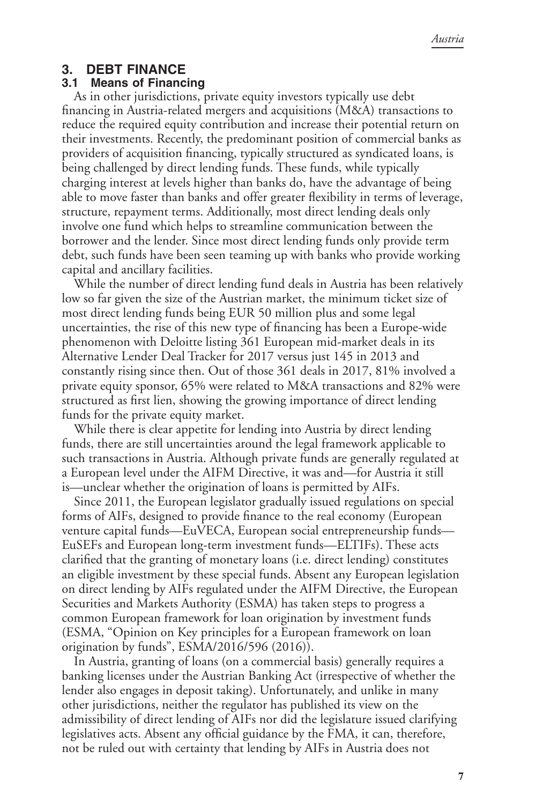#### **3. DEBT FINANCE**

#### **3.1 Means of Financing**

As in other jurisdictions, private equity investors typically use debt financing in Austria-related mergers and acquisitions (M&A) transactions to reduce the required equity contribution and increase their potential return on their investments. Recently, the predominant position of commercial banks as providers of acquisition financing, typically structured as syndicated loans, is being challenged by direct lending funds. These funds, while typically charging interest at levels higher than banks do, have the advantage of being able to move faster than banks and offer greater flexibility in terms of leverage, structure, repayment terms. Additionally, most direct lending deals only involve one fund which helps to streamline communication between the borrower and the lender. Since most direct lending funds only provide term debt, such funds have been seen teaming up with banks who provide working capital and ancillary facilities.

While the number of direct lending fund deals in Austria has been relatively low so far given the size of the Austrian market, the minimum ticket size of most direct lending funds being EUR 50 million plus and some legal uncertainties, the rise of this new type of financing has been a Europe-wide phenomenon with Deloitte listing 361 European mid-market deals in its Alternative Lender Deal Tracker for 2017 versus just 145 in 2013 and constantly rising since then. Out of those 361 deals in 2017, 81% involved a private equity sponsor, 65% were related to M&A transactions and 82% were structured as first lien, showing the growing importance of direct lending funds for the private equity market.

While there is clear appetite for lending into Austria by direct lending funds, there are still uncertainties around the legal framework applicable to such transactions in Austria. Although private funds are generally regulated at a European level under the AIFM Directive, it was and—for Austria it still is—unclear whether the origination of loans is permitted by AIFs.

Since 2011, the European legislator gradually issued regulations on special forms of AIFs, designed to provide finance to the real economy (European venture capital funds—EuVECA, European social entrepreneurship funds— EuSEFs and European long-term investment funds—ELTIFs). These acts clarified that the granting of monetary loans (i.e. direct lending) constitutes an eligible investment by these special funds. Absent any European legislation on direct lending by AIFs regulated under the AIFM Directive, the European Securities and Markets Authority (ESMA) has taken steps to progress a common European framework for loan origination by investment funds (ESMA, "Opinion on Key principles for a European framework on loan origination by funds", ESMA/2016/596 (2016)).

In Austria, granting of loans (on a commercial basis) generally requires a banking licenses under the Austrian Banking Act (irrespective of whether the lender also engages in deposit taking). Unfortunately, and unlike in many other jurisdictions, neither the regulator has published its view on the admissibility of direct lending of AIFs nor did the legislature issued clarifying legislatives acts. Absent any official guidance by the FMA, it can, therefore, not be ruled out with certainty that lending by AIFs in Austria does not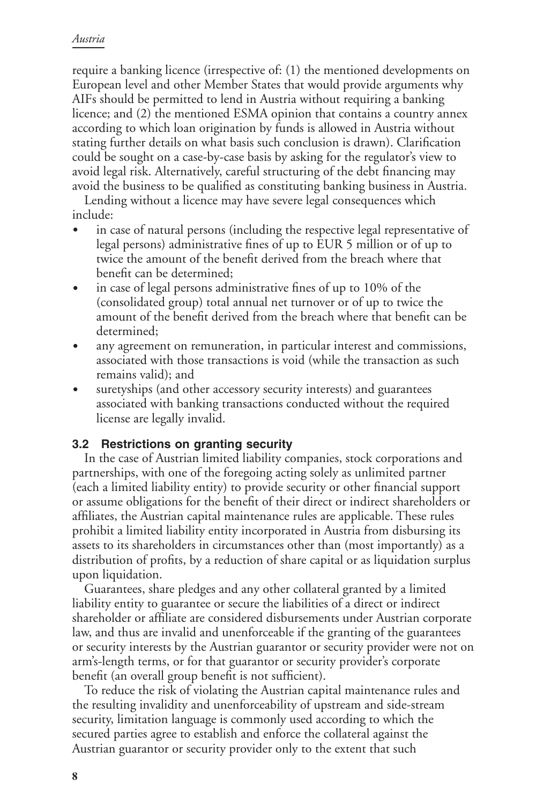#### *Austria*

require a banking licence (irrespective of: (1) the mentioned developments on European level and other Member States that would provide arguments why AIFs should be permitted to lend in Austria without requiring a banking licence; and (2) the mentioned ESMA opinion that contains a country annex according to which loan origination by funds is allowed in Austria without stating further details on what basis such conclusion is drawn). Clarification could be sought on a case-by-case basis by asking for the regulator's view to avoid legal risk. Alternatively, careful structuring of the debt financing may avoid the business to be qualified as constituting banking business in Austria.

Lending without a licence may have severe legal consequences which include:

- in case of natural persons (including the respective legal representative of legal persons) administrative fines of up to EUR 5 million or of up to twice the amount of the benefit derived from the breach where that benefit can be determined;
- in case of legal persons administrative fines of up to 10% of the (consolidated group) total annual net turnover or of up to twice the amount of the benefit derived from the breach where that benefit can be determined;
- any agreement on remuneration, in particular interest and commissions, associated with those transactions is void (while the transaction as such remains valid); and
- suretyships (and other accessory security interests) and guarantees associated with banking transactions conducted without the required license are legally invalid.

#### **3.2 Restrictions on granting security**

In the case of Austrian limited liability companies, stock corporations and partnerships, with one of the foregoing acting solely as unlimited partner (each a limited liability entity) to provide security or other financial support or assume obligations for the benefit of their direct or indirect shareholders or affiliates, the Austrian capital maintenance rules are applicable. These rules prohibit a limited liability entity incorporated in Austria from disbursing its assets to its shareholders in circumstances other than (most importantly) as a distribution of profits, by a reduction of share capital or as liquidation surplus upon liquidation.

Guarantees, share pledges and any other collateral granted by a limited liability entity to guarantee or secure the liabilities of a direct or indirect shareholder or affiliate are considered disbursements under Austrian corporate law, and thus are invalid and unenforceable if the granting of the guarantees or security interests by the Austrian guarantor or security provider were not on arm's-length terms, or for that guarantor or security provider's corporate benefit (an overall group benefit is not sufficient).

To reduce the risk of violating the Austrian capital maintenance rules and the resulting invalidity and unenforceability of upstream and side-stream security, limitation language is commonly used according to which the secured parties agree to establish and enforce the collateral against the Austrian guarantor or security provider only to the extent that such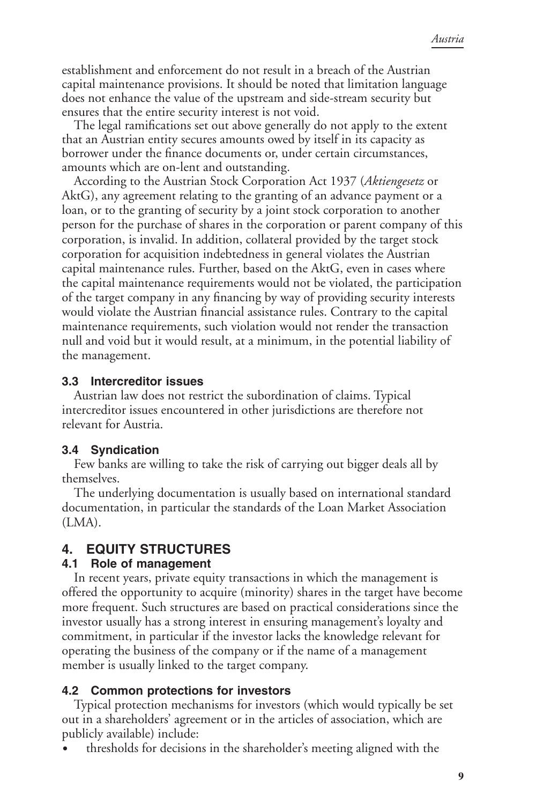establishment and enforcement do not result in a breach of the Austrian capital maintenance provisions. It should be noted that limitation language does not enhance the value of the upstream and side-stream security but ensures that the entire security interest is not void.

The legal ramifications set out above generally do not apply to the extent that an Austrian entity secures amounts owed by itself in its capacity as borrower under the finance documents or, under certain circumstances, amounts which are on-lent and outstanding.

According to the Austrian Stock Corporation Act 1937 (*Aktiengesetz* or AktG), any agreement relating to the granting of an advance payment or a loan, or to the granting of security by a joint stock corporation to another person for the purchase of shares in the corporation or parent company of this corporation, is invalid. In addition, collateral provided by the target stock corporation for acquisition indebtedness in general violates the Austrian capital maintenance rules. Further, based on the AktG, even in cases where the capital maintenance requirements would not be violated, the participation of the target company in any financing by way of providing security interests would violate the Austrian financial assistance rules. Contrary to the capital maintenance requirements, such violation would not render the transaction null and void but it would result, at a minimum, in the potential liability of the management.

#### **3.3 Intercreditor issues**

Austrian law does not restrict the subordination of claims. Typical intercreditor issues encountered in other jurisdictions are therefore not relevant for Austria.

### **3.4 Syndication**

Few banks are willing to take the risk of carrying out bigger deals all by themselves.

The underlying documentation is usually based on international standard documentation, in particular the standards of the Loan Market Association  $(LMA)$ .

# **4. EQUITY STRUCTURES**

### **4.1 Role of management**

In recent years, private equity transactions in which the management is offered the opportunity to acquire (minority) shares in the target have become more frequent. Such structures are based on practical considerations since the investor usually has a strong interest in ensuring management's loyalty and commitment, in particular if the investor lacks the knowledge relevant for operating the business of the company or if the name of a management member is usually linked to the target company.

## **4.2 Common protections for investors**

Typical protection mechanisms for investors (which would typically be set out in a shareholders' agreement or in the articles of association, which are publicly available) include:

thresholds for decisions in the shareholder's meeting aligned with the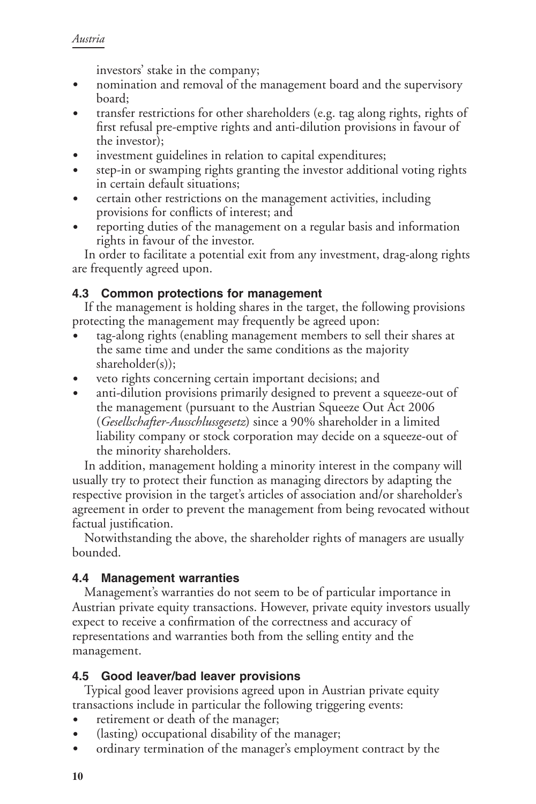investors' stake in the company;

- nomination and removal of the management board and the supervisory board;
- transfer restrictions for other shareholders (e.g. tag along rights, rights of first refusal pre-emptive rights and anti-dilution provisions in favour of the investor);
- investment guidelines in relation to capital expenditures;
- step-in or swamping rights granting the investor additional voting rights in certain default situations;
- certain other restrictions on the management activities, including provisions for conflicts of interest; and
- reporting duties of the management on a regular basis and information rights in favour of the investor.

In order to facilitate a potential exit from any investment, drag-along rights are frequently agreed upon.

## **4.3 Common protections for management**

If the management is holding shares in the target, the following provisions protecting the management may frequently be agreed upon:

- tag-along rights (enabling management members to sell their shares at the same time and under the same conditions as the majority shareholder(s));
- veto rights concerning certain important decisions; and
- anti-dilution provisions primarily designed to prevent a squeeze-out of the management (pursuant to the Austrian Squeeze Out Act 2006 (*Gesellschafter-Ausschlussgesetz*) since a 90% shareholder in a limited liability company or stock corporation may decide on a squeeze-out of the minority shareholders.

In addition, management holding a minority interest in the company will usually try to protect their function as managing directors by adapting the respective provision in the target's articles of association and/or shareholder's agreement in order to prevent the management from being revocated without factual justification.

Notwithstanding the above, the shareholder rights of managers are usually bounded.

## **4.4 Management warranties**

Management's warranties do not seem to be of particular importance in Austrian private equity transactions. However, private equity investors usually expect to receive a confirmation of the correctness and accuracy of representations and warranties both from the selling entity and the management.

## **4.5 Good leaver/bad leaver provisions**

Typical good leaver provisions agreed upon in Austrian private equity transactions include in particular the following triggering events:

- retirement or death of the manager;
- $\bullet$  (lasting) occupational disability of the manager;
- ordinary termination of the manager's employment contract by the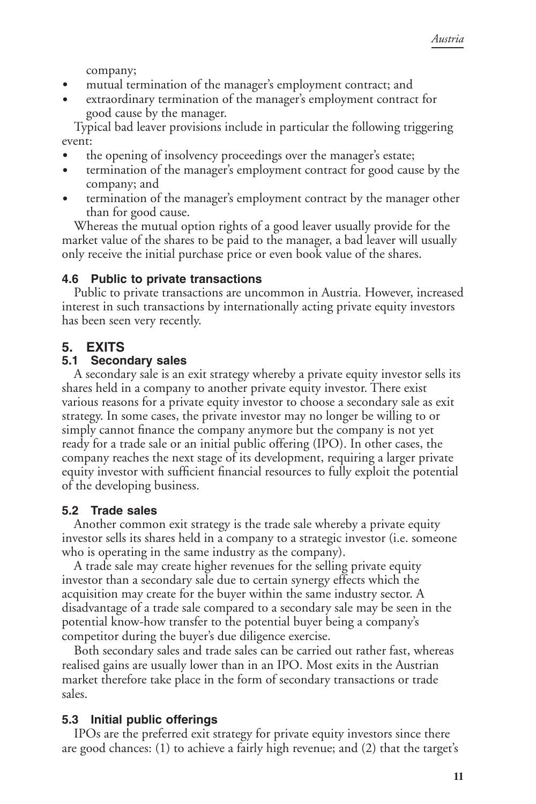company;

- mutual termination of the manager's employment contract; and
- extraordinary termination of the manager's employment contract for good cause by the manager.

Typical bad leaver provisions include in particular the following triggering event:

- the opening of insolvency proceedings over the manager's estate;
- termination of the manager's employment contract for good cause by the company; and
- termination of the manager's employment contract by the manager other than for good cause.

Whereas the mutual option rights of a good leaver usually provide for the market value of the shares to be paid to the manager, a bad leaver will usually only receive the initial purchase price or even book value of the shares.

## **4.6 Public to private transactions**

Public to private transactions are uncommon in Austria. However, increased interest in such transactions by internationally acting private equity investors has been seen very recently.

# **5. EXITS**

## **5.1 Secondary sales**

A secondary sale is an exit strategy whereby a private equity investor sells its shares held in a company to another private equity investor. There exist various reasons for a private equity investor to choose a secondary sale as exit strategy. In some cases, the private investor may no longer be willing to or simply cannot finance the company anymore but the company is not yet ready for a trade sale or an initial public offering (IPO). In other cases, the company reaches the next stage of its development, requiring a larger private equity investor with sufficient financial resources to fully exploit the potential of the developing business.

## **5.2 Trade sales**

Another common exit strategy is the trade sale whereby a private equity investor sells its shares held in a company to a strategic investor (i.e. someone who is operating in the same industry as the company).

A trade sale may create higher revenues for the selling private equity investor than a secondary sale due to certain synergy effects which the acquisition may create for the buyer within the same industry sector. A disadvantage of a trade sale compared to a secondary sale may be seen in the potential know-how transfer to the potential buyer being a company's competitor during the buyer's due diligence exercise.

Both secondary sales and trade sales can be carried out rather fast, whereas realised gains are usually lower than in an IPO. Most exits in the Austrian market therefore take place in the form of secondary transactions or trade sales.

## **5.3 Initial public offerings**

IPOs are the preferred exit strategy for private equity investors since there are good chances: (1) to achieve a fairly high revenue; and (2) that the target's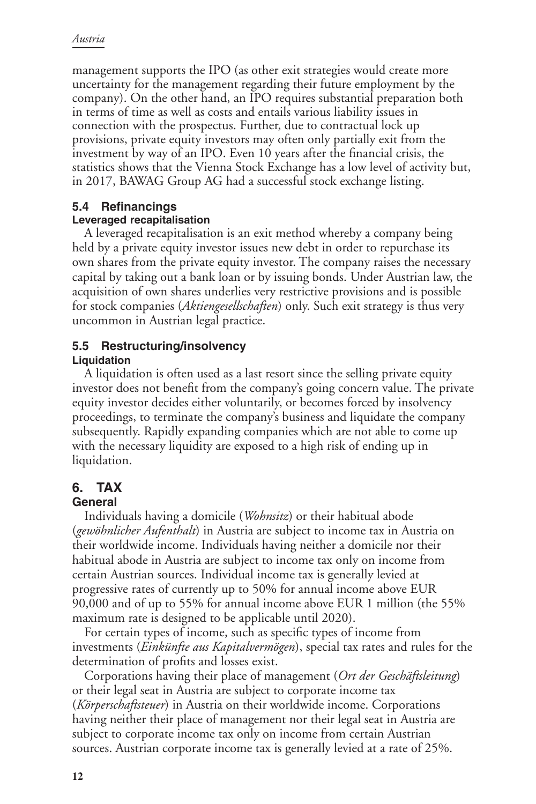management supports the IPO (as other exit strategies would create more uncertainty for the management regarding their future employment by the company). On the other hand, an IPO requires substantial preparation both in terms of time as well as costs and entails various liability issues in connection with the prospectus. Further, due to contractual lock up provisions, private equity investors may often only partially exit from the investment by way of an IPO. Even 10 years after the financial crisis, the statistics shows that the Vienna Stock Exchange has a low level of activity but, in 2017, BAWAG Group AG had a successful stock exchange listing.

## **5.4 Refinancings**

#### **Leveraged recapitalisation**

A leveraged recapitalisation is an exit method whereby a company being held by a private equity investor issues new debt in order to repurchase its own shares from the private equity investor. The company raises the necessary capital by taking out a bank loan or by issuing bonds. Under Austrian law, the acquisition of own shares underlies very restrictive provisions and is possible for stock companies (*Aktiengesellschaften*) only. Such exit strategy is thus very uncommon in Austrian legal practice.

# **5.5 Restructuring/insolvency**

#### **Liquidation**

A liquidation is often used as a last resort since the selling private equity investor does not benefit from the company's going concern value. The private equity investor decides either voluntarily, or becomes forced by insolvency proceedings, to terminate the company's business and liquidate the company subsequently. Rapidly expanding companies which are not able to come up with the necessary liquidity are exposed to a high risk of ending up in liquidation.

# **6. TAX**

### **General**

Individuals having a domicile (*Wohnsitz*) or their habitual abode (*gewöhnlicher Aufenthalt*) in Austria are subject to income tax in Austria on their worldwide income. Individuals having neither a domicile nor their habitual abode in Austria are subject to income tax only on income from certain Austrian sources. Individual income tax is generally levied at progressive rates of currently up to 50% for annual income above EUR 90,000 and of up to 55% for annual income above EUR 1 million (the 55% maximum rate is designed to be applicable until 2020).

For certain types of income, such as specific types of income from investments (*Einkünfte aus Kapitalvermögen*), special tax rates and rules for the determination of profits and losses exist.

Corporations having their place of management (*Ort der Geschäftsleitung*) or their legal seat in Austria are subject to corporate income tax (*Körperschaftsteuer*) in Austria on their worldwide income. Corporations having neither their place of management nor their legal seat in Austria are subject to corporate income tax only on income from certain Austrian sources. Austrian corporate income tax is generally levied at a rate of 25%.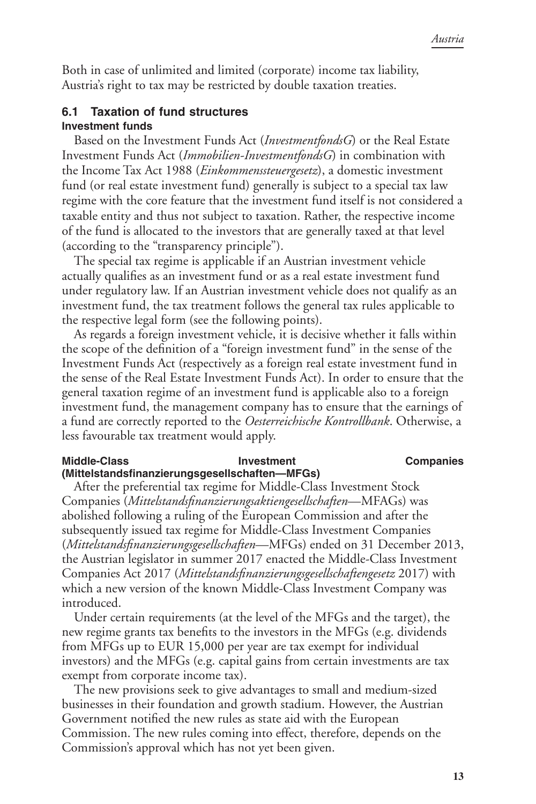Both in case of unlimited and limited (corporate) income tax liability, Austria's right to tax may be restricted by double taxation treaties.

#### **6.1 Taxation of fund structures Investment funds**

Based on the Investment Funds Act (*InvestmentfondsG*) or the Real Estate Investment Funds Act (*Immobilien-InvestmentfondsG*) in combination with the Income Tax Act 1988 (*Einkommenssteuergesetz*), a domestic investment fund (or real estate investment fund) generally is subject to a special tax law regime with the core feature that the investment fund itself is not considered a taxable entity and thus not subject to taxation. Rather, the respective income of the fund is allocated to the investors that are generally taxed at that level (according to the "transparency principle").

The special tax regime is applicable if an Austrian investment vehicle actually qualifies as an investment fund or as a real estate investment fund under regulatory law. If an Austrian investment vehicle does not qualify as an investment fund, the tax treatment follows the general tax rules applicable to the respective legal form (see the following points).

As regards a foreign investment vehicle, it is decisive whether it falls within the scope of the definition of a "foreign investment fund" in the sense of the Investment Funds Act (respectively as a foreign real estate investment fund in the sense of the Real Estate Investment Funds Act). In order to ensure that the general taxation regime of an investment fund is applicable also to a foreign investment fund, the management company has to ensure that the earnings of a fund are correctly reported to the *Oesterreichische Kontrollbank*. Otherwise, a less favourable tax treatment would apply.

#### **Middle-Class Companies Investment Companies (Mittelstandsfinanzierungsgesellschaften—MFGs)**

After the preferential tax regime for Middle-Class Investment Stock Companies (*Mittelstandsfinanzierungsaktiengesellschaften*—MFAGs) was abolished following a ruling of the European Commission and after the subsequently issued tax regime for Middle-Class Investment Companies (*Mittelstandsfinanzierungsgesellschaften*—MFGs) ended on 31 December 2013, the Austrian legislator in summer 2017 enacted the Middle-Class Investment Companies Act 2017 (*Mittelstandsfinanzierungsgesellschaftengesetz* 2017) with which a new version of the known Middle-Class Investment Company was introduced.

Under certain requirements (at the level of the MFGs and the target), the new regime grants tax benefits to the investors in the MFGs (e.g. dividends from MFGs up to EUR 15,000 per year are tax exempt for individual investors) and the MFGs (e.g. capital gains from certain investments are tax exempt from corporate income tax).

The new provisions seek to give advantages to small and medium-sized businesses in their foundation and growth stadium. However, the Austrian Government notified the new rules as state aid with the European Commission. The new rules coming into effect, therefore, depends on the Commission's approval which has not yet been given.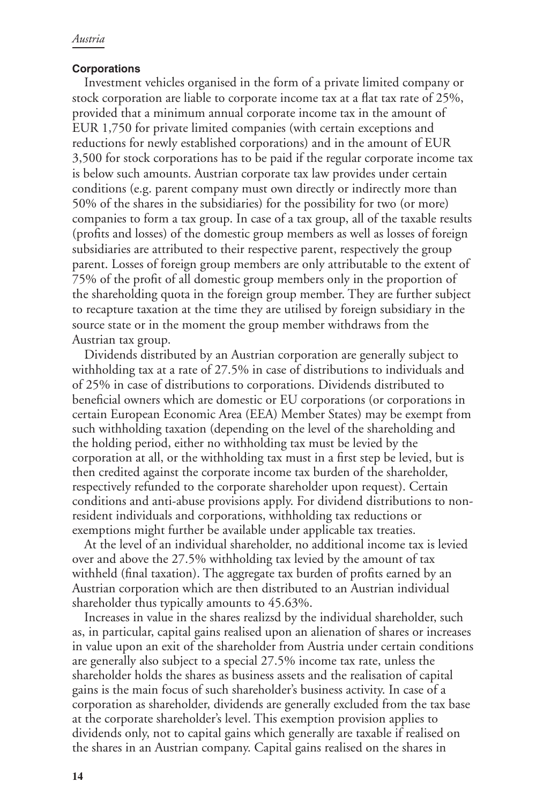#### **Corporations**

Investment vehicles organised in the form of a private limited company or stock corporation are liable to corporate income tax at a flat tax rate of 25%, provided that a minimum annual corporate income tax in the amount of EUR 1,750 for private limited companies (with certain exceptions and reductions for newly established corporations) and in the amount of EUR 3,500 for stock corporations has to be paid if the regular corporate income tax is below such amounts. Austrian corporate tax law provides under certain conditions (e.g. parent company must own directly or indirectly more than 50% of the shares in the subsidiaries) for the possibility for two (or more) companies to form a tax group. In case of a tax group, all of the taxable results (profits and losses) of the domestic group members as well as losses of foreign subsidiaries are attributed to their respective parent, respectively the group parent. Losses of foreign group members are only attributable to the extent of 75% of the profit of all domestic group members only in the proportion of the shareholding quota in the foreign group member. They are further subject to recapture taxation at the time they are utilised by foreign subsidiary in the source state or in the moment the group member withdraws from the Austrian tax group.

Dividends distributed by an Austrian corporation are generally subject to withholding tax at a rate of 27.5% in case of distributions to individuals and of 25% in case of distributions to corporations. Dividends distributed to beneficial owners which are domestic or EU corporations (or corporations in certain European Economic Area (EEA) Member States) may be exempt from such withholding taxation (depending on the level of the shareholding and the holding period, either no withholding tax must be levied by the corporation at all, or the withholding tax must in a first step be levied, but is then credited against the corporate income tax burden of the shareholder, respectively refunded to the corporate shareholder upon request). Certain conditions and anti-abuse provisions apply. For dividend distributions to nonresident individuals and corporations, withholding tax reductions or exemptions might further be available under applicable tax treaties.

At the level of an individual shareholder, no additional income tax is levied over and above the 27.5% withholding tax levied by the amount of tax withheld (final taxation). The aggregate tax burden of profits earned by an Austrian corporation which are then distributed to an Austrian individual shareholder thus typically amounts to 45.63%.

Increases in value in the shares realizsd by the individual shareholder, such as, in particular, capital gains realised upon an alienation of shares or increases in value upon an exit of the shareholder from Austria under certain conditions are generally also subject to a special 27.5% income tax rate, unless the shareholder holds the shares as business assets and the realisation of capital gains is the main focus of such shareholder's business activity. In case of a corporation as shareholder, dividends are generally excluded from the tax base at the corporate shareholder's level. This exemption provision applies to dividends only, not to capital gains which generally are taxable if realised on the shares in an Austrian company. Capital gains realised on the shares in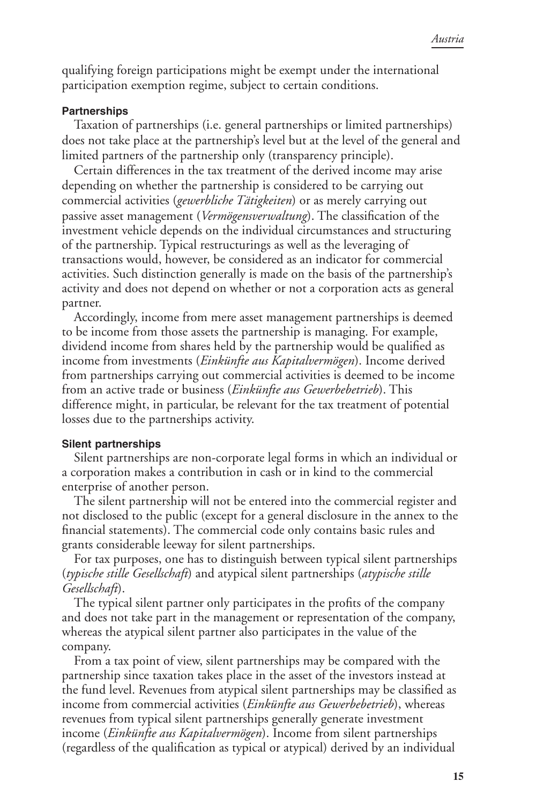qualifying foreign participations might be exempt under the international participation exemption regime, subject to certain conditions.

#### **Partnerships**

Taxation of partnerships (i.e. general partnerships or limited partnerships) does not take place at the partnership's level but at the level of the general and limited partners of the partnership only (transparency principle).

Certain differences in the tax treatment of the derived income may arise depending on whether the partnership is considered to be carrying out commercial activities (*gewerbliche Tätigkeiten*) or as merely carrying out passive asset management (*Vermögensverwaltung*). The classification of the investment vehicle depends on the individual circumstances and structuring of the partnership. Typical restructurings as well as the leveraging of transactions would, however, be considered as an indicator for commercial activities. Such distinction generally is made on the basis of the partnership's activity and does not depend on whether or not a corporation acts as general partner.

Accordingly, income from mere asset management partnerships is deemed to be income from those assets the partnership is managing. For example, dividend income from shares held by the partnership would be qualified as income from investments (*Einkünfte aus Kapitalvermögen*). Income derived from partnerships carrying out commercial activities is deemed to be income from an active trade or business (*Einkünfte aus Gewerbebetrieb*). This difference might, in particular, be relevant for the tax treatment of potential losses due to the partnerships activity.

#### **Silent partnerships**

Silent partnerships are non-corporate legal forms in which an individual or a corporation makes a contribution in cash or in kind to the commercial enterprise of another person.

The silent partnership will not be entered into the commercial register and not disclosed to the public (except for a general disclosure in the annex to the financial statements). The commercial code only contains basic rules and grants considerable leeway for silent partnerships.

For tax purposes, one has to distinguish between typical silent partnerships (*typische stille Gesellschaft*) and atypical silent partnerships (*atypische stille Gesellschaft*).

The typical silent partner only participates in the profits of the company and does not take part in the management or representation of the company, whereas the atypical silent partner also participates in the value of the company.

From a tax point of view, silent partnerships may be compared with the partnership since taxation takes place in the asset of the investors instead at the fund level. Revenues from atypical silent partnerships may be classified as income from commercial activities (*Einkünfte aus Gewerbebetrieb*), whereas revenues from typical silent partnerships generally generate investment income (*Einkünfte aus Kapitalvermögen*). Income from silent partnerships (regardless of the qualification as typical or atypical) derived by an individual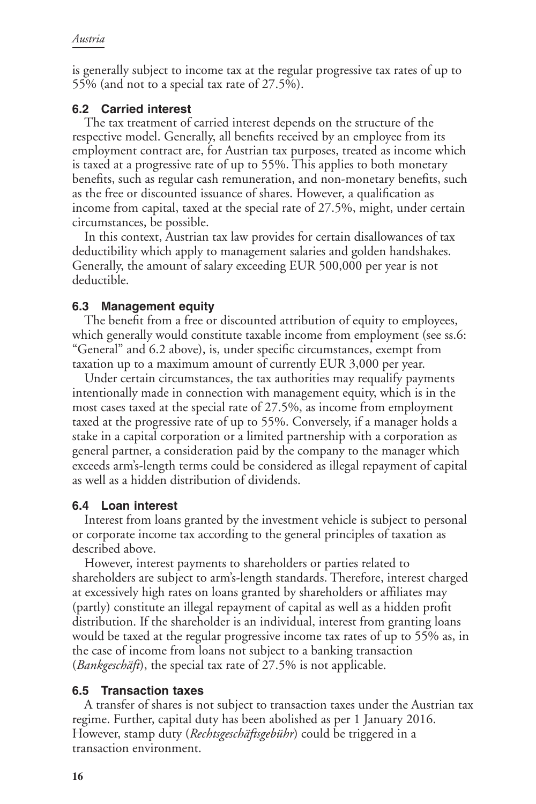is generally subject to income tax at the regular progressive tax rates of up to 55% (and not to a special tax rate of 27.5%).

#### **6.2 Carried interest**

The tax treatment of carried interest depends on the structure of the respective model. Generally, all benefits received by an employee from its employment contract are, for Austrian tax purposes, treated as income which is taxed at a progressive rate of up to 55%. This applies to both monetary benefits, such as regular cash remuneration, and non-monetary benefits, such as the free or discounted issuance of shares. However, a qualification as income from capital, taxed at the special rate of 27.5%, might, under certain circumstances, be possible.

In this context, Austrian tax law provides for certain disallowances of tax deductibility which apply to management salaries and golden handshakes. Generally, the amount of salary exceeding EUR 500,000 per year is not deductible.

#### **6.3 Management equity**

The benefit from a free or discounted attribution of equity to employees, which generally would constitute taxable income from employment (see ss.6: "General" and 6.2 above), is, under specific circumstances, exempt from taxation up to a maximum amount of currently EUR 3,000 per year.

Under certain circumstances, the tax authorities may requalify payments intentionally made in connection with management equity, which is in the most cases taxed at the special rate of 27.5%, as income from employment taxed at the progressive rate of up to 55%. Conversely, if a manager holds a stake in a capital corporation or a limited partnership with a corporation as general partner, a consideration paid by the company to the manager which exceeds arm's-length terms could be considered as illegal repayment of capital as well as a hidden distribution of dividends.

### **6.4 Loan interest**

Interest from loans granted by the investment vehicle is subject to personal or corporate income tax according to the general principles of taxation as described above.

However, interest payments to shareholders or parties related to shareholders are subject to arm's-length standards. Therefore, interest charged at excessively high rates on loans granted by shareholders or affiliates may (partly) constitute an illegal repayment of capital as well as a hidden profit distribution. If the shareholder is an individual, interest from granting loans would be taxed at the regular progressive income tax rates of up to 55% as, in the case of income from loans not subject to a banking transaction (*Bankgeschäft*), the special tax rate of 27.5% is not applicable.

### **6.5 Transaction taxes**

A transfer of shares is not subject to transaction taxes under the Austrian tax regime. Further, capital duty has been abolished as per 1 January 2016. However, stamp duty (*Rechtsgeschäftsgebühr*) could be triggered in a transaction environment.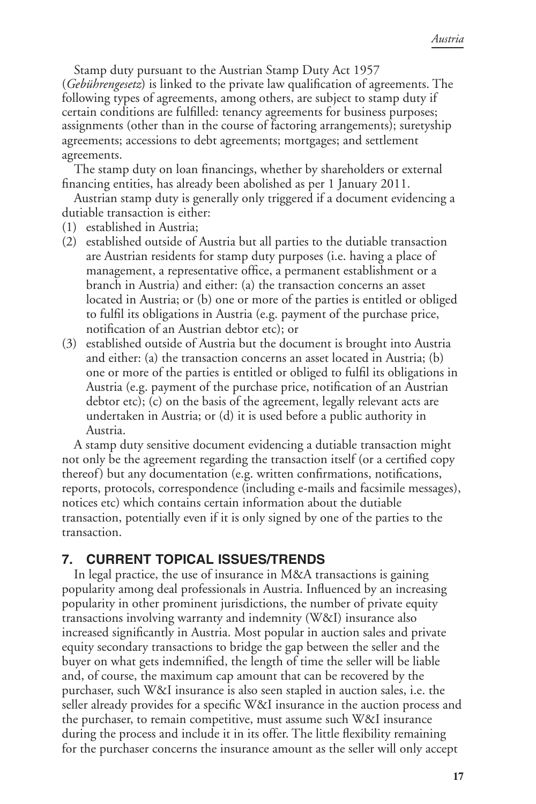Stamp duty pursuant to the Austrian Stamp Duty Act 1957 (*Gebührengesetz*) is linked to the private law qualification of agreements. The following types of agreements, among others, are subject to stamp duty if certain conditions are fulfilled: tenancy agreements for business purposes; assignments (other than in the course of factoring arrangements); suretyship agreements; accessions to debt agreements; mortgages; and settlement agreements.

The stamp duty on loan financings, whether by shareholders or external financing entities, has already been abolished as per 1 January 2011.

Austrian stamp duty is generally only triggered if a document evidencing a dutiable transaction is either:

- (1) established in Austria;
- (2) established outside of Austria but all parties to the dutiable transaction are Austrian residents for stamp duty purposes (i.e. having a place of management, a representative office, a permanent establishment or a branch in Austria) and either: (a) the transaction concerns an asset located in Austria; or (b) one or more of the parties is entitled or obliged to fulfil its obligations in Austria (e.g. payment of the purchase price, notification of an Austrian debtor etc); or
- (3) established outside of Austria but the document is brought into Austria and either: (a) the transaction concerns an asset located in Austria; (b) one or more of the parties is entitled or obliged to fulfil its obligations in Austria (e.g. payment of the purchase price, notification of an Austrian debtor etc); (c) on the basis of the agreement, legally relevant acts are undertaken in Austria; or (d) it is used before a public authority in Austria.

A stamp duty sensitive document evidencing a dutiable transaction might not only be the agreement regarding the transaction itself (or a certified copy thereof) but any documentation (e.g. written confirmations, notifications, reports, protocols, correspondence (including e-mails and facsimile messages), notices etc) which contains certain information about the dutiable transaction, potentially even if it is only signed by one of the parties to the transaction.

## **7. CURRENT TOPICAL ISSUES/TRENDS**

In legal practice, the use of insurance in M&A transactions is gaining popularity among deal professionals in Austria. Influenced by an increasing popularity in other prominent jurisdictions, the number of private equity transactions involving warranty and indemnity (W&I) insurance also increased significantly in Austria. Most popular in auction sales and private equity secondary transactions to bridge the gap between the seller and the buyer on what gets indemnified, the length of time the seller will be liable and, of course, the maximum cap amount that can be recovered by the purchaser, such W&I insurance is also seen stapled in auction sales, i.e. the seller already provides for a specific W&I insurance in the auction process and the purchaser, to remain competitive, must assume such W&I insurance during the process and include it in its offer. The little flexibility remaining for the purchaser concerns the insurance amount as the seller will only accept